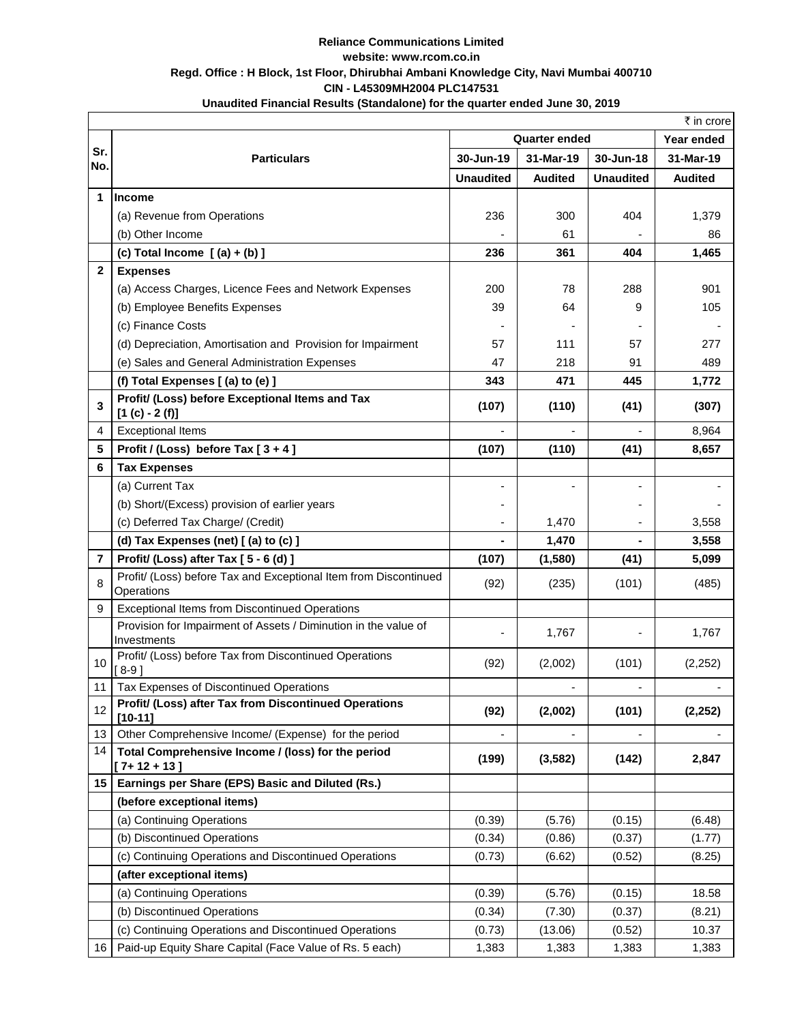## **Reliance Communications Limited website: www.rcom.co.in Regd. Office : H Block, 1st Floor, Dhirubhai Ambani Knowledge City, Navi Mumbai 400710 CIN - L45309MH2004 PLC147531 Unaudited Financial Results (Standalone) for the quarter ended June 30, 2019**

|              | ₹ in crore                                                                     |                      |                |                  |                |  |  |  |
|--------------|--------------------------------------------------------------------------------|----------------------|----------------|------------------|----------------|--|--|--|
|              |                                                                                | <b>Quarter ended</b> |                |                  | Year ended     |  |  |  |
| Sr.<br>No.   | <b>Particulars</b>                                                             | 30-Jun-19            | 31-Mar-19      | 30-Jun-18        | 31-Mar-19      |  |  |  |
|              |                                                                                | <b>Unaudited</b>     | <b>Audited</b> | <b>Unaudited</b> | <b>Audited</b> |  |  |  |
| 1            | <b>Income</b>                                                                  |                      |                |                  |                |  |  |  |
|              | (a) Revenue from Operations                                                    | 236                  | 300            | 404              | 1,379          |  |  |  |
|              | (b) Other Income                                                               |                      | 61             |                  | 86             |  |  |  |
|              | (c) Total Income $[(a) + (b)]$                                                 | 236                  | 361            | 404              | 1,465          |  |  |  |
| $\mathbf{2}$ | <b>Expenses</b>                                                                |                      |                |                  |                |  |  |  |
|              | (a) Access Charges, Licence Fees and Network Expenses                          | 200                  | 78             | 288              | 901            |  |  |  |
|              | (b) Employee Benefits Expenses                                                 | 39                   | 64             | 9                | 105            |  |  |  |
|              | (c) Finance Costs                                                              |                      |                |                  |                |  |  |  |
|              | (d) Depreciation, Amortisation and Provision for Impairment                    | 57                   | 111            | 57               | 277            |  |  |  |
|              | (e) Sales and General Administration Expenses                                  | 47                   | 218            | 91               | 489            |  |  |  |
|              | (f) Total Expenses [(a) to (e) ]                                               | 343                  | 471            | 445              | 1,772          |  |  |  |
| 3            | Profit/ (Loss) before Exceptional Items and Tax<br>$[1 (c) - 2 (f)]$           | (107)                | (110)          | (41)             | (307)          |  |  |  |
| 4            | <b>Exceptional Items</b>                                                       |                      |                |                  | 8,964          |  |  |  |
| 5            | Profit / (Loss) before Tax $[3+4]$                                             | (107)                | (110)          | (41)             | 8,657          |  |  |  |
| 6            | <b>Tax Expenses</b>                                                            |                      |                |                  |                |  |  |  |
|              | (a) Current Tax                                                                |                      |                |                  |                |  |  |  |
|              | (b) Short/(Excess) provision of earlier years                                  |                      |                |                  |                |  |  |  |
|              | (c) Deferred Tax Charge/ (Credit)                                              |                      | 1,470          |                  | 3,558          |  |  |  |
|              | (d) Tax Expenses (net) [(a) to (c) ]                                           |                      | 1,470          |                  | 3,558          |  |  |  |
| 7            | Profit/ (Loss) after Tax [5 - 6 (d)]                                           | (107)                | (1,580)        | (41)             | 5,099          |  |  |  |
| 8            | Profit/ (Loss) before Tax and Exceptional Item from Discontinued<br>Operations | (92)                 | (235)          | (101)            | (485)          |  |  |  |
| 9            | <b>Exceptional Items from Discontinued Operations</b>                          |                      |                |                  |                |  |  |  |
|              | Provision for Impairment of Assets / Diminution in the value of<br>Investments |                      | 1,767          |                  | 1,767          |  |  |  |
| 10           | Profit/ (Loss) before Tax from Discontinued Operations<br>[ 8-9 ]              | (92)                 | (2,002)        | (101)            | (2,252)        |  |  |  |
| 11           | Tax Expenses of Discontinued Operations                                        |                      |                |                  |                |  |  |  |
| 12           | Profit/ (Loss) after Tax from Discontinued Operations<br>$[10 - 11]$           | (92)                 | (2,002)        | (101)            | (2, 252)       |  |  |  |
| 13           | Other Comprehensive Income/ (Expense) for the period                           |                      |                |                  |                |  |  |  |
| 14           | Total Comprehensive Income / (loss) for the period<br>$[7+12+13]$              | (199)                | (3, 582)       | (142)            | 2,847          |  |  |  |
| 15           | Earnings per Share (EPS) Basic and Diluted (Rs.)                               |                      |                |                  |                |  |  |  |
|              | (before exceptional items)                                                     |                      |                |                  |                |  |  |  |
|              | (a) Continuing Operations                                                      | (0.39)               | (5.76)         | (0.15)           | (6.48)         |  |  |  |
|              | (b) Discontinued Operations                                                    | (0.34)               | (0.86)         | (0.37)           | (1.77)         |  |  |  |
|              | (c) Continuing Operations and Discontinued Operations                          | (0.73)               | (6.62)         | (0.52)           | (8.25)         |  |  |  |
|              | (after exceptional items)                                                      |                      |                |                  |                |  |  |  |
|              | (a) Continuing Operations                                                      | (0.39)               | (5.76)         | (0.15)           | 18.58          |  |  |  |
|              | (b) Discontinued Operations                                                    | (0.34)               | (7.30)         | (0.37)           | (8.21)         |  |  |  |
|              | (c) Continuing Operations and Discontinued Operations                          | (0.73)               | (13.06)        | (0.52)           | 10.37          |  |  |  |
| 16 I         | Paid-up Equity Share Capital (Face Value of Rs. 5 each)                        | 1,383                | 1,383          | 1,383            | 1,383          |  |  |  |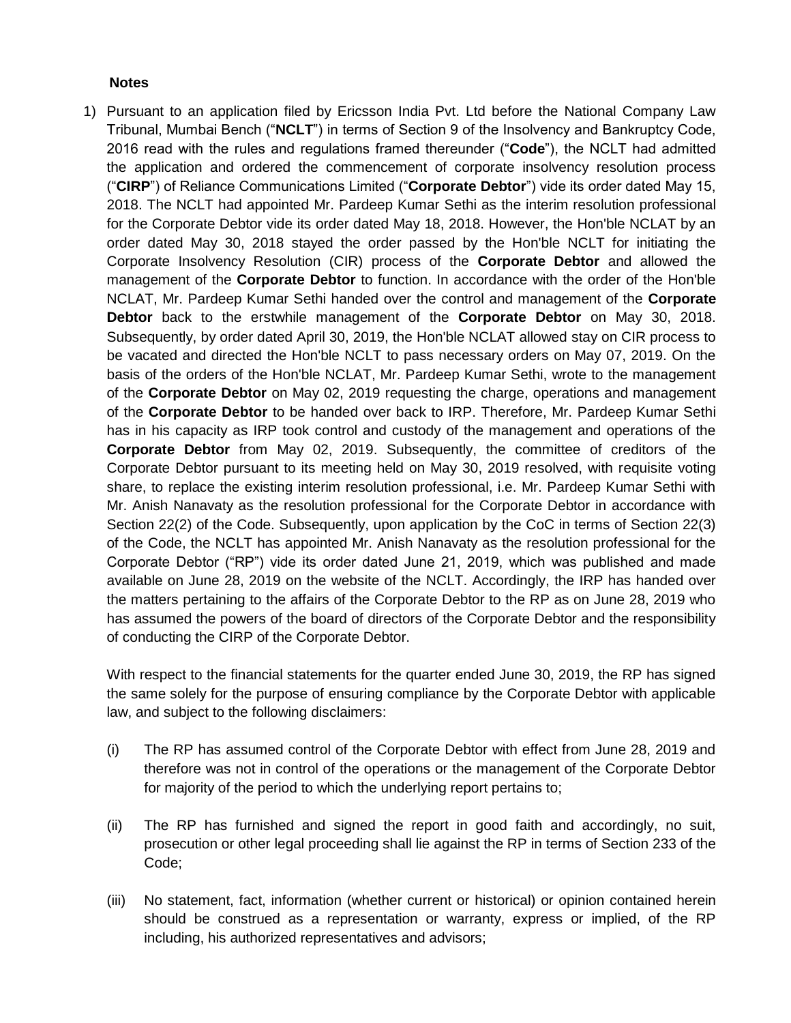## **Notes**

1) Pursuant to an application filed by Ericsson India Pvt. Ltd before the National Company Law Tribunal, Mumbai Bench ("**NCLT**") in terms of Section 9 of the Insolvency and Bankruptcy Code, 2016 read with the rules and regulations framed thereunder ("**Code**"), the NCLT had admitted the application and ordered the commencement of corporate insolvency resolution process ("**CIRP**") of Reliance Communications Limited ("**Corporate Debtor**") vide its order dated May 15, 2018. The NCLT had appointed Mr. Pardeep Kumar Sethi as the interim resolution professional for the Corporate Debtor vide its order dated May 18, 2018. However, the Hon'ble NCLAT by an order dated May 30, 2018 stayed the order passed by the Hon'ble NCLT for initiating the Corporate Insolvency Resolution (CIR) process of the **Corporate Debtor** and allowed the management of the **Corporate Debtor** to function. In accordance with the order of the Hon'ble NCLAT, Mr. Pardeep Kumar Sethi handed over the control and management of the **Corporate Debtor** back to the erstwhile management of the **Corporate Debtor** on May 30, 2018. Subsequently, by order dated April 30, 2019, the Hon'ble NCLAT allowed stay on CIR process to be vacated and directed the Hon'ble NCLT to pass necessary orders on May 07, 2019. On the basis of the orders of the Hon'ble NCLAT, Mr. Pardeep Kumar Sethi, wrote to the management of the **Corporate Debtor** on May 02, 2019 requesting the charge, operations and management of the **Corporate Debtor** to be handed over back to IRP. Therefore, Mr. Pardeep Kumar Sethi has in his capacity as IRP took control and custody of the management and operations of the **Corporate Debtor** from May 02, 2019. Subsequently, the committee of creditors of the Corporate Debtor pursuant to its meeting held on May 30, 2019 resolved, with requisite voting share, to replace the existing interim resolution professional, i.e. Mr. Pardeep Kumar Sethi with Mr. Anish Nanavaty as the resolution professional for the Corporate Debtor in accordance with Section 22(2) of the Code. Subsequently, upon application by the CoC in terms of Section 22(3) of the Code, the NCLT has appointed Mr. Anish Nanavaty as the resolution professional for the Corporate Debtor ("RP") vide its order dated June 21, 2019, which was published and made available on June 28, 2019 on the website of the NCLT. Accordingly, the IRP has handed over the matters pertaining to the affairs of the Corporate Debtor to the RP as on June 28, 2019 who has assumed the powers of the board of directors of the Corporate Debtor and the responsibility of conducting the CIRP of the Corporate Debtor.

With respect to the financial statements for the quarter ended June 30, 2019, the RP has signed the same solely for the purpose of ensuring compliance by the Corporate Debtor with applicable law, and subject to the following disclaimers:

- (i) The RP has assumed control of the Corporate Debtor with effect from June 28, 2019 and therefore was not in control of the operations or the management of the Corporate Debtor for majority of the period to which the underlying report pertains to;
- (ii) The RP has furnished and signed the report in good faith and accordingly, no suit, prosecution or other legal proceeding shall lie against the RP in terms of Section 233 of the Code;
- (iii) No statement, fact, information (whether current or historical) or opinion contained herein should be construed as a representation or warranty, express or implied, of the RP including, his authorized representatives and advisors;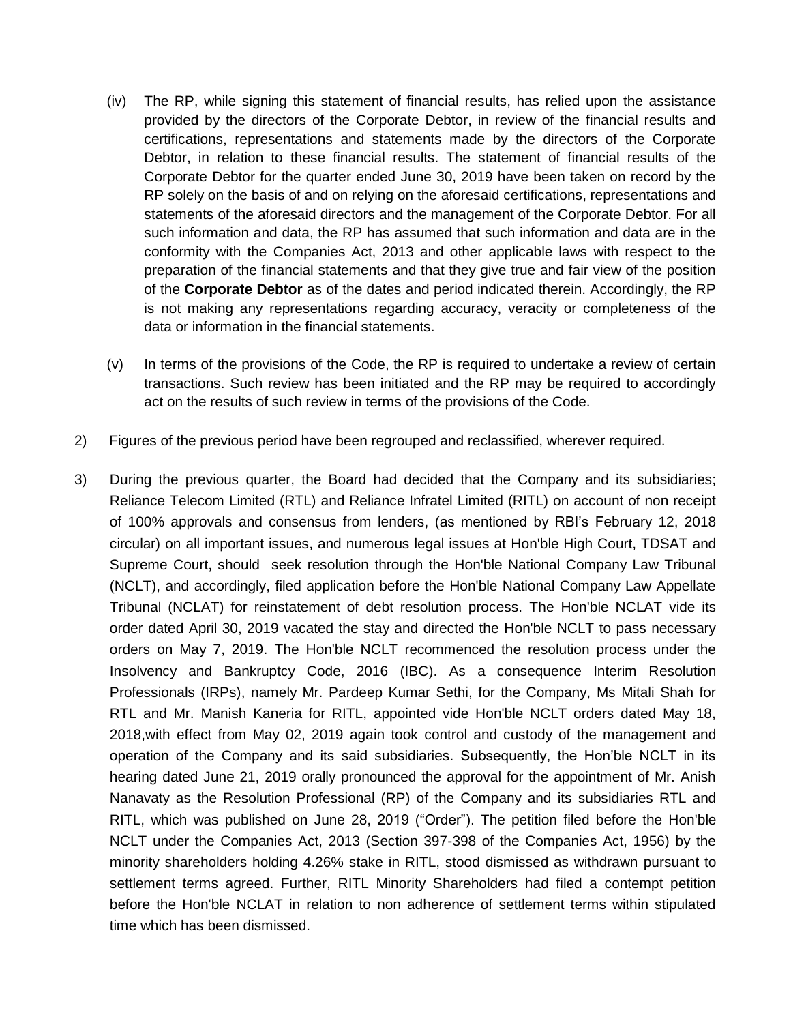- (iv) The RP, while signing this statement of financial results, has relied upon the assistance provided by the directors of the Corporate Debtor, in review of the financial results and certifications, representations and statements made by the directors of the Corporate Debtor, in relation to these financial results. The statement of financial results of the Corporate Debtor for the quarter ended June 30, 2019 have been taken on record by the RP solely on the basis of and on relying on the aforesaid certifications, representations and statements of the aforesaid directors and the management of the Corporate Debtor. For all such information and data, the RP has assumed that such information and data are in the conformity with the Companies Act, 2013 and other applicable laws with respect to the preparation of the financial statements and that they give true and fair view of the position of the **Corporate Debtor** as of the dates and period indicated therein. Accordingly, the RP is not making any representations regarding accuracy, veracity or completeness of the data or information in the financial statements.
- $(v)$  In terms of the provisions of the Code, the RP is required to undertake a review of certain transactions. Such review has been initiated and the RP may be required to accordingly act on the results of such review in terms of the provisions of the Code.
- 2) Figures of the previous period have been regrouped and reclassified, wherever required.
- 3) During the previous quarter, the Board had decided that the Company and its subsidiaries; Reliance Telecom Limited (RTL) and Reliance Infratel Limited (RITL) on account of non receipt of 100% approvals and consensus from lenders, (as mentioned by RBI"s February 12, 2018 circular) on all important issues, and numerous legal issues at Hon'ble High Court, TDSAT and Supreme Court, should seek resolution through the Hon'ble National Company Law Tribunal (NCLT), and accordingly, filed application before the Hon'ble National Company Law Appellate Tribunal (NCLAT) for reinstatement of debt resolution process. The Hon'ble NCLAT vide its order dated April 30, 2019 vacated the stay and directed the Hon'ble NCLT to pass necessary orders on May 7, 2019. The Hon'ble NCLT recommenced the resolution process under the Insolvency and Bankruptcy Code, 2016 (IBC). As a consequence Interim Resolution Professionals (IRPs), namely Mr. Pardeep Kumar Sethi, for the Company, Ms Mitali Shah for RTL and Mr. Manish Kaneria for RITL, appointed vide Hon'ble NCLT orders dated May 18, 2018,with effect from May 02, 2019 again took control and custody of the management and operation of the Company and its said subsidiaries. Subsequently, the Hon"ble NCLT in its hearing dated June 21, 2019 orally pronounced the approval for the appointment of Mr. Anish Nanavaty as the Resolution Professional (RP) of the Company and its subsidiaries RTL and RITL, which was published on June 28, 2019 ("Order"). The petition filed before the Hon'ble NCLT under the Companies Act, 2013 (Section 397-398 of the Companies Act, 1956) by the minority shareholders holding 4.26% stake in RITL, stood dismissed as withdrawn pursuant to settlement terms agreed. Further, RITL Minority Shareholders had filed a contempt petition before the Hon'ble NCLAT in relation to non adherence of settlement terms within stipulated time which has been dismissed.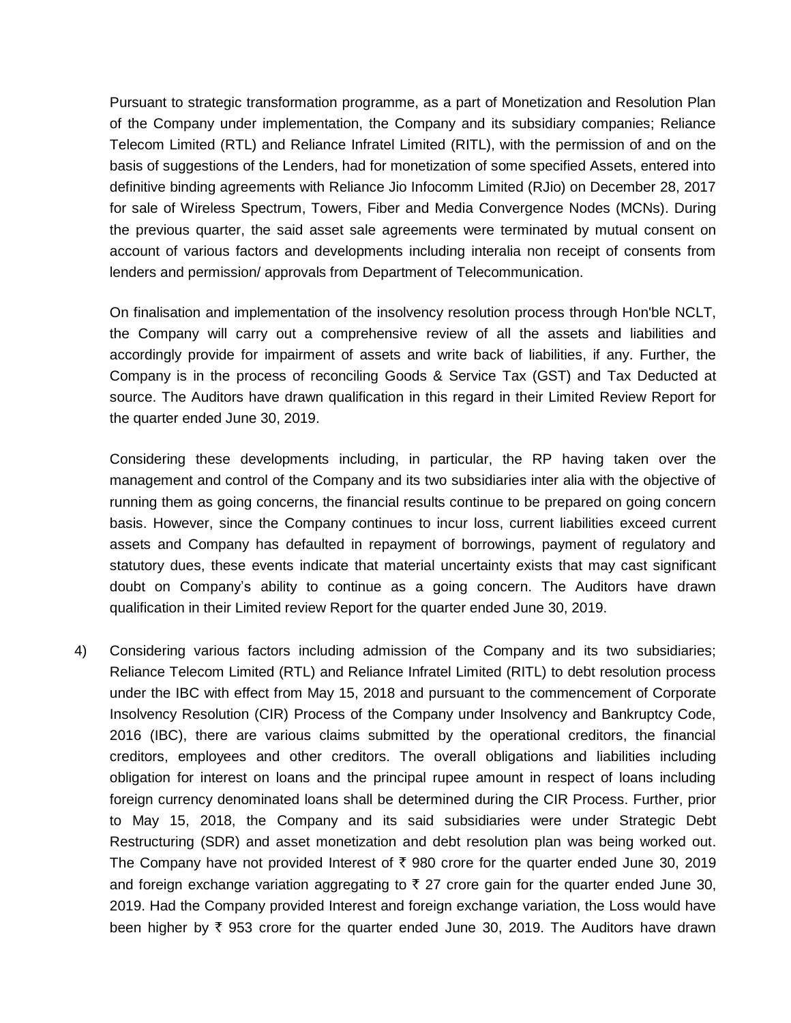Pursuant to strategic transformation programme, as a part of Monetization and Resolution Plan of the Company under implementation, the Company and its subsidiary companies; Reliance Telecom Limited (RTL) and Reliance Infratel Limited (RITL), with the permission of and on the basis of suggestions of the Lenders, had for monetization of some specified Assets, entered into definitive binding agreements with Reliance Jio Infocomm Limited (RJio) on December 28, 2017 for sale of Wireless Spectrum, Towers, Fiber and Media Convergence Nodes (MCNs). During the previous quarter, the said asset sale agreements were terminated by mutual consent on account of various factors and developments including interalia non receipt of consents from lenders and permission/ approvals from Department of Telecommunication.

On finalisation and implementation of the insolvency resolution process through Hon'ble NCLT, the Company will carry out a comprehensive review of all the assets and liabilities and accordingly provide for impairment of assets and write back of liabilities, if any. Further, the Company is in the process of reconciling Goods & Service Tax (GST) and Tax Deducted at source. The Auditors have drawn qualification in this regard in their Limited Review Report for the quarter ended June 30, 2019.

Considering these developments including, in particular, the RP having taken over the management and control of the Company and its two subsidiaries inter alia with the objective of running them as going concerns, the financial results continue to be prepared on going concern basis. However, since the Company continues to incur loss, current liabilities exceed current assets and Company has defaulted in repayment of borrowings, payment of regulatory and statutory dues, these events indicate that material uncertainty exists that may cast significant doubt on Company"s ability to continue as a going concern. The Auditors have drawn qualification in their Limited review Report for the quarter ended June 30, 2019.

4) Considering various factors including admission of the Company and its two subsidiaries; Reliance Telecom Limited (RTL) and Reliance Infratel Limited (RITL) to debt resolution process under the IBC with effect from May 15, 2018 and pursuant to the commencement of Corporate Insolvency Resolution (CIR) Process of the Company under Insolvency and Bankruptcy Code, 2016 (IBC), there are various claims submitted by the operational creditors, the financial creditors, employees and other creditors. The overall obligations and liabilities including obligation for interest on loans and the principal rupee amount in respect of loans including foreign currency denominated loans shall be determined during the CIR Process. Further, prior to May 15, 2018, the Company and its said subsidiaries were under Strategic Debt Restructuring (SDR) and asset monetization and debt resolution plan was being worked out. The Company have not provided Interest of  $\bar{\tau}$  980 crore for the quarter ended June 30, 2019 and foreign exchange variation aggregating to  $\bar{\tau}$  27 crore gain for the quarter ended June 30, 2019. Had the Company provided Interest and foreign exchange variation, the Loss would have been higher by  $\bar{\tau}$  953 crore for the quarter ended June 30, 2019. The Auditors have drawn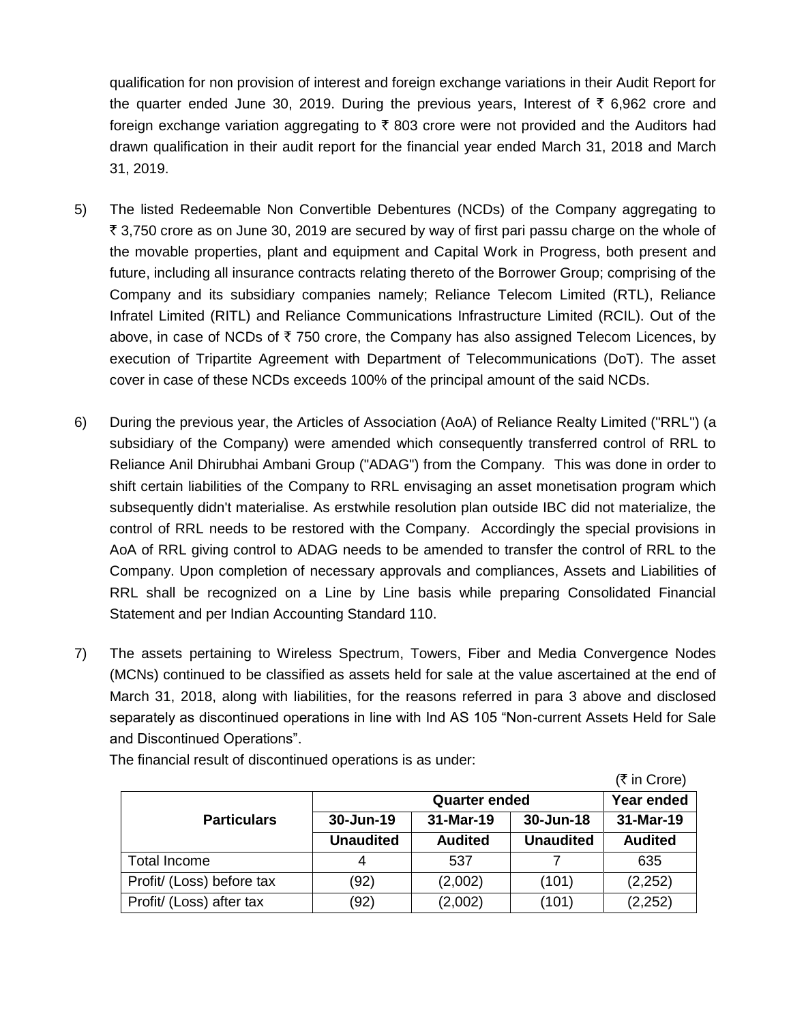qualification for non provision of interest and foreign exchange variations in their Audit Report for the quarter ended June 30, 2019. During the previous years, Interest of  $\bar{\tau}$  6,962 crore and foreign exchange variation aggregating to  $\bar{\tau}$  803 crore were not provided and the Auditors had drawn qualification in their audit report for the financial year ended March 31, 2018 and March 31, 2019.

- 5) The listed Redeemable Non Convertible Debentures (NCDs) of the Company aggregating to  $\bar{\tau}$  3,750 crore as on June 30, 2019 are secured by way of first pari passu charge on the whole of the movable properties, plant and equipment and Capital Work in Progress, both present and future, including all insurance contracts relating thereto of the Borrower Group; comprising of the Company and its subsidiary companies namely; Reliance Telecom Limited (RTL), Reliance Infratel Limited (RITL) and Reliance Communications Infrastructure Limited (RCIL). Out of the above, in case of NCDs of  $\bar{\tau}$  750 crore, the Company has also assigned Telecom Licences, by execution of Tripartite Agreement with Department of Telecommunications (DoT). The asset cover in case of these NCDs exceeds 100% of the principal amount of the said NCDs.
- 6) During the previous year, the Articles of Association (AoA) of Reliance Realty Limited ("RRL") (a subsidiary of the Company) were amended which consequently transferred control of RRL to Reliance Anil Dhirubhai Ambani Group ("ADAG") from the Company. This was done in order to shift certain liabilities of the Company to RRL envisaging an asset monetisation program which subsequently didn't materialise. As erstwhile resolution plan outside IBC did not materialize, the control of RRL needs to be restored with the Company. Accordingly the special provisions in AoA of RRL giving control to ADAG needs to be amended to transfer the control of RRL to the Company. Upon completion of necessary approvals and compliances, Assets and Liabilities of RRL shall be recognized on a Line by Line basis while preparing Consolidated Financial Statement and per Indian Accounting Standard 110.
- 7) The assets pertaining to Wireless Spectrum, Towers, Fiber and Media Convergence Nodes (MCNs) continued to be classified as assets held for sale at the value ascertained at the end of March 31, 2018, along with liabilities, for the reasons referred in para 3 above and disclosed separately as discontinued operations in line with Ind AS 105 "Non-current Assets Held for Sale and Discontinued Operations".

|                           |                  |                |                  | (₹ in Crore)   |
|---------------------------|------------------|----------------|------------------|----------------|
|                           |                  | Year ended     |                  |                |
| <b>Particulars</b>        | $30 - Jun-19$    | 31-Mar-19      | 30-Jun-18        | 31-Mar-19      |
|                           | <b>Unaudited</b> | <b>Audited</b> | <b>Unaudited</b> | <b>Audited</b> |
| Total Income              | 4                | 537            |                  | 635            |
| Profit/ (Loss) before tax | (92)             | (2,002)        | (101)            | (2, 252)       |
| Profit/ (Loss) after tax  | (92)             | (2,002)        | (101)            | (2, 252)       |

The financial result of discontinued operations is as under: